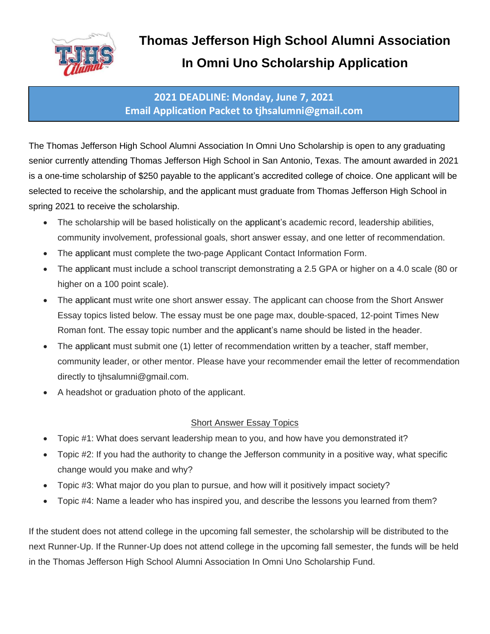

### **2021 DEADLINE: Monday, June 7, 2021 Email Application Packet to tjhsalumni@gmail.com**

The Thomas Jefferson High School Alumni Association In Omni Uno Scholarship is open to any graduating senior currently attending Thomas Jefferson High School in San Antonio, Texas. The amount awarded in 2021 is a one-time scholarship of \$250 payable to the applicant's accredited college of choice. One applicant will be selected to receive the scholarship, and the applicant must graduate from Thomas Jefferson High School in spring 2021 to receive the scholarship.

- The scholarship will be based holistically on the applicant's academic record, leadership abilities, community involvement, professional goals, short answer essay, and one letter of recommendation.
- The applicant must complete the two-page Applicant Contact Information Form.
- The applicant must include a school transcript demonstrating a 2.5 GPA or higher on a 4.0 scale (80 or higher on a 100 point scale).
- The applicant must write one short answer essay. The applicant can choose from the Short Answer Essay topics listed below. The essay must be one page max, double-spaced, 12-point Times New Roman font. The essay topic number and the applicant's name should be listed in the header.
- The applicant must submit one (1) letter of recommendation written by a teacher, staff member, community leader, or other mentor. Please have your recommender email the letter of recommendation directly to tjhsalumni@gmail.com.
- A headshot or graduation photo of the applicant.

#### Short Answer Essay Topics

- Topic #1: What does servant leadership mean to you, and how have you demonstrated it?
- Topic #2: If you had the authority to change the Jefferson community in a positive way, what specific change would you make and why?
- Topic #3: What major do you plan to pursue, and how will it positively impact society?
- Topic #4: Name a leader who has inspired you, and describe the lessons you learned from them?

If the student does not attend college in the upcoming fall semester, the scholarship will be distributed to the next Runner-Up. If the Runner-Up does not attend college in the upcoming fall semester, the funds will be held in the Thomas Jefferson High School Alumni Association In Omni Uno Scholarship Fund.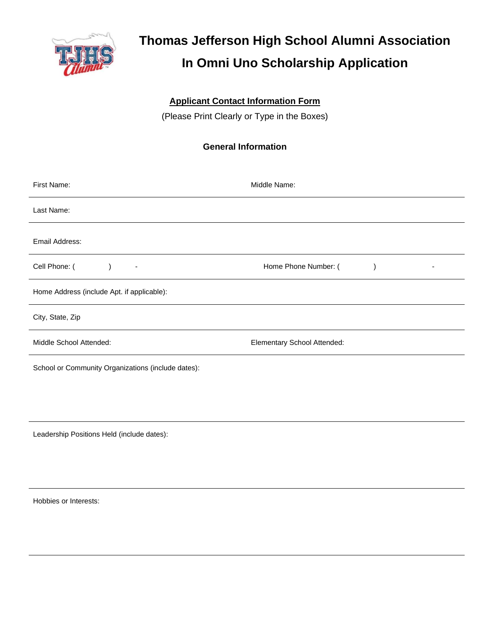

#### **Applicant Contact Information Form**

(Please Print Clearly or Type in the Boxes)

#### **General Information**

| First Name:                                        | Middle Name:                |  |  |
|----------------------------------------------------|-----------------------------|--|--|
| Last Name:                                         |                             |  |  |
| Email Address:                                     |                             |  |  |
| Cell Phone: (<br>$\overline{\phantom{a}}$          | Home Phone Number: (        |  |  |
| Home Address (include Apt. if applicable):         |                             |  |  |
| City, State, Zip                                   |                             |  |  |
| Middle School Attended:                            | Elementary School Attended: |  |  |
| School or Community Organizations (include dates): |                             |  |  |
|                                                    |                             |  |  |

Leadership Positions Held (include dates):

Hobbies or Interests: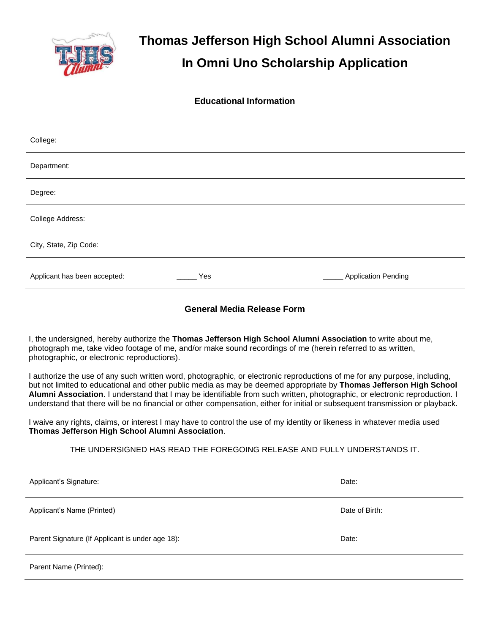

**Educational Information**

| College:                     |     |                            |
|------------------------------|-----|----------------------------|
| Department:                  |     |                            |
| Degree:                      |     |                            |
| College Address:             |     |                            |
| City, State, Zip Code:       |     |                            |
| Applicant has been accepted: | Yes | <b>Application Pending</b> |

#### **General Media Release Form**

I, the undersigned, hereby authorize the **Thomas Jefferson High School Alumni Association** to write about me, photograph me, take video footage of me, and/or make sound recordings of me (herein referred to as written, photographic, or electronic reproductions).

I authorize the use of any such written word, photographic, or electronic reproductions of me for any purpose, including, but not limited to educational and other public media as may be deemed appropriate by **Thomas Jefferson High School Alumni Association**. I understand that I may be identifiable from such written, photographic, or electronic reproduction. I understand that there will be no financial or other compensation, either for initial or subsequent transmission or playback.

I waive any rights, claims, or interest I may have to control the use of my identity or likeness in whatever media used **Thomas Jefferson High School Alumni Association**.

THE UNDERSIGNED HAS READ THE FOREGOING RELEASE AND FULLY UNDERSTANDS IT.

| Applicant's Signature:                           | Date:          |
|--------------------------------------------------|----------------|
| Applicant's Name (Printed)                       | Date of Birth: |
| Parent Signature (If Applicant is under age 18): | Date:          |
| Parent Name (Printed):                           |                |